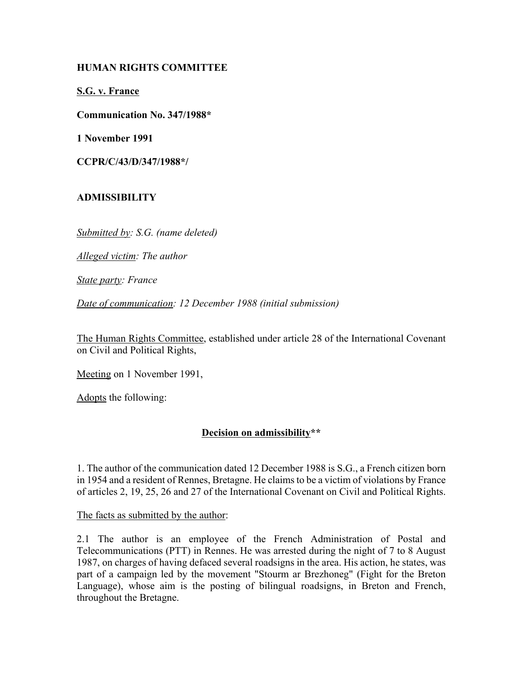## **HUMAN RIGHTS COMMITTEE**

**S.G. v. France**

**Communication No. 347/1988\***

**1 November 1991**

**CCPR/C/43/D/347/1988\*/** 

# **ADMISSIBILITY**

*Submitted by: S.G. (name deleted)*

*Alleged victim: The author*

*State party: France*

*Date of communication: 12 December 1988 (initial submission)*

The Human Rights Committee, established under article 28 of the International Covenant on Civil and Political Rights,

Meeting on 1 November 1991,

Adopts the following:

## **Decision on admissibility\*\***

1. The author of the communication dated 12 December 1988 is S.G., a French citizen born in 1954 and a resident of Rennes, Bretagne. He claims to be a victim of violations by France of articles 2, 19, 25, 26 and 27 of the International Covenant on Civil and Political Rights.

The facts as submitted by the author:

2.1 The author is an employee of the French Administration of Postal and Telecommunications (PTT) in Rennes. He was arrested during the night of 7 to 8 August 1987, on charges of having defaced several roadsigns in the area. His action, he states, was part of a campaign led by the movement "Stourm ar Brezhoneg" (Fight for the Breton Language), whose aim is the posting of bilingual roadsigns, in Breton and French, throughout the Bretagne.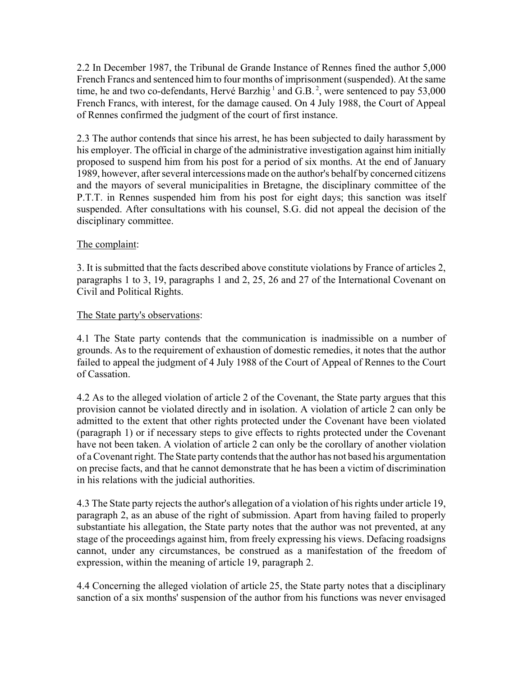2.2 In December 1987, the Tribunal de Grande Instance of Rennes fined the author 5,000 French Francs and sentenced him to four months of imprisonment (suspended). At the same time, he and two co-defendants, Hervé Barzhig<sup>1</sup> and G.B.<sup>2</sup>, were sentenced to pay 53,000 French Francs, with interest, for the damage caused. On 4 July 1988, the Court of Appeal of Rennes confirmed the judgment of the court of first instance.

2.3 The author contends that since his arrest, he has been subjected to daily harassment by his employer. The official in charge of the administrative investigation against him initially proposed to suspend him from his post for a period of six months. At the end of January 1989, however, after several intercessions made on the author's behalf by concerned citizens and the mayors of several municipalities in Bretagne, the disciplinary committee of the P.T.T. in Rennes suspended him from his post for eight days; this sanction was itself suspended. After consultations with his counsel, S.G. did not appeal the decision of the disciplinary committee.

### The complaint:

3. It is submitted that the facts described above constitute violations by France of articles 2, paragraphs 1 to 3, 19, paragraphs 1 and 2, 25, 26 and 27 of the International Covenant on Civil and Political Rights.

### The State party's observations:

4.1 The State party contends that the communication is inadmissible on a number of grounds. As to the requirement of exhaustion of domestic remedies, it notes that the author failed to appeal the judgment of 4 July 1988 of the Court of Appeal of Rennes to the Court of Cassation.

4.2 As to the alleged violation of article 2 of the Covenant, the State party argues that this provision cannot be violated directly and in isolation. A violation of article 2 can only be admitted to the extent that other rights protected under the Covenant have been violated (paragraph 1) or if necessary steps to give effects to rights protected under the Covenant have not been taken. A violation of article 2 can only be the corollary of another violation of a Covenant right. The State party contends that the author has not based his argumentation on precise facts, and that he cannot demonstrate that he has been a victim of discrimination in his relations with the judicial authorities.

4.3 The State party rejects the author's allegation of a violation of his rights under article 19, paragraph 2, as an abuse of the right of submission. Apart from having failed to properly substantiate his allegation, the State party notes that the author was not prevented, at any stage of the proceedings against him, from freely expressing his views. Defacing roadsigns cannot, under any circumstances, be construed as a manifestation of the freedom of expression, within the meaning of article 19, paragraph 2.

4.4 Concerning the alleged violation of article 25, the State party notes that a disciplinary sanction of a six months' suspension of the author from his functions was never envisaged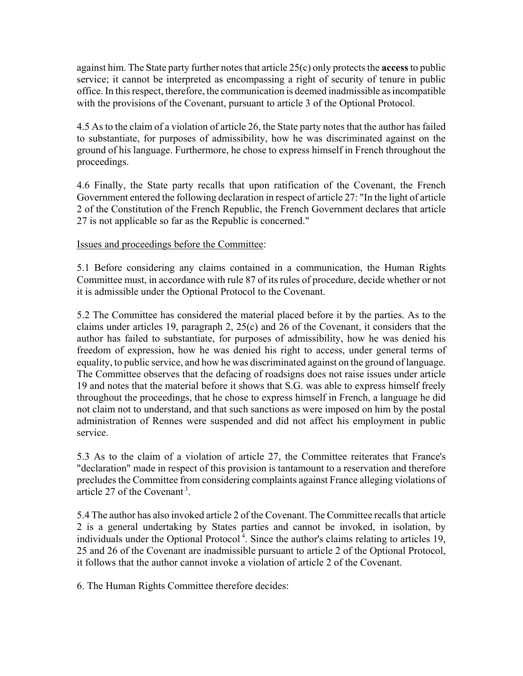against him. The State party further notes that article 25(c) only protects the **access** to public service; it cannot be interpreted as encompassing a right of security of tenure in public office. In this respect, therefore, the communication is deemed inadmissible as incompatible with the provisions of the Covenant, pursuant to article 3 of the Optional Protocol.

4.5 As to the claim of a violation of article 26, the State party notes that the author has failed to substantiate, for purposes of admissibility, how he was discriminated against on the ground of his language. Furthermore, he chose to express himself in French throughout the proceedings.

4.6 Finally, the State party recalls that upon ratification of the Covenant, the French Government entered the following declaration in respect of article 27: "In the light of article 2 of the Constitution of the French Republic, the French Government declares that article 27 is not applicable so far as the Republic is concerned."

Issues and proceedings before the Committee:

5.1 Before considering any claims contained in a communication, the Human Rights Committee must, in accordance with rule 87 of its rules of procedure, decide whether or not it is admissible under the Optional Protocol to the Covenant.

5.2 The Committee has considered the material placed before it by the parties. As to the claims under articles 19, paragraph 2, 25(c) and 26 of the Covenant, it considers that the author has failed to substantiate, for purposes of admissibility, how he was denied his freedom of expression, how he was denied his right to access, under general terms of equality, to public service, and how he was discriminated against on the ground of language. The Committee observes that the defacing of roadsigns does not raise issues under article 19 and notes that the material before it shows that S.G. was able to express himself freely throughout the proceedings, that he chose to express himself in French, a language he did not claim not to understand, and that such sanctions as were imposed on him by the postal administration of Rennes were suspended and did not affect his employment in public service.

5.3 As to the claim of a violation of article 27, the Committee reiterates that France's "declaration" made in respect of this provision is tantamount to a reservation and therefore precludes the Committee from considering complaints against France alleging violations of article 27 of the Covenant<sup>3</sup>

5.4 The author has also invoked article 2 of the Covenant. The Committee recalls that article 2 is a general undertaking by States parties and cannot be invoked, in isolation, by individuals under the Optional Protocol<sup> $4$ </sup>. Since the author's claims relating to articles 19, 25 and 26 of the Covenant are inadmissible pursuant to article 2 of the Optional Protocol, it follows that the author cannot invoke a violation of article 2 of the Covenant.

6. The Human Rights Committee therefore decides: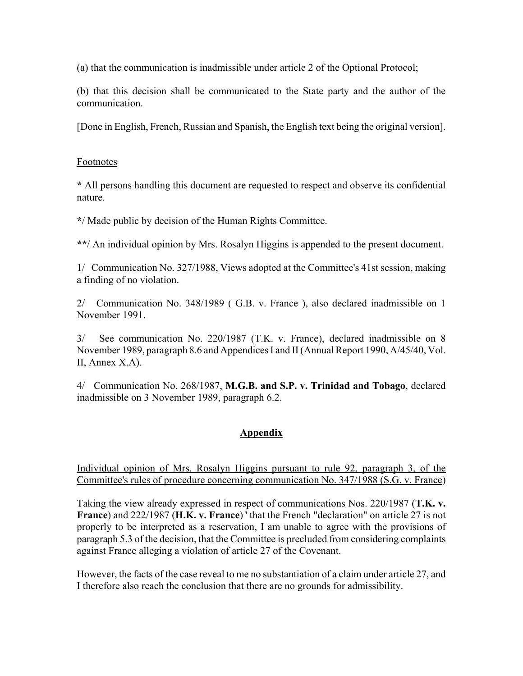(a) that the communication is inadmissible under article 2 of the Optional Protocol;

(b) that this decision shall be communicated to the State party and the author of the communication.

[Done in English, French, Russian and Spanish, the English text being the original version].

#### Footnotes

**\*** All persons handling this document are requested to respect and observe its confidential nature.

**\***/ Made public by decision of the Human Rights Committee.

**\*\***/ An individual opinion by Mrs. Rosalyn Higgins is appended to the present document.

1/ Communication No. 327/1988, Views adopted at the Committee's 41st session, making a finding of no violation.

2/ Communication No. 348/1989 ( G.B. v. France ), also declared inadmissible on 1 November 1991.

3/ See communication No. 220/1987 (T.K. v. France), declared inadmissible on 8 November 1989, paragraph 8.6 and Appendices I and II (Annual Report 1990, A/45/40, Vol. II, Annex X.A).

4/ Communication No. 268/1987, **M.G.B. and S.P. v. Trinidad and Tobago**, declared inadmissible on 3 November 1989, paragraph 6.2.

## **Appendix**

Individual opinion of Mrs. Rosalyn Higgins pursuant to rule 92, paragraph 3, of the Committee's rules of procedure concerning communication No. 347/1988 (S.G. v. France)

Taking the view already expressed in respect of communications Nos. 220/1987 (**T.K. v.** France) and 222/1987 (H.K. v. France)<sup>a</sup> that the French "declaration" on article 27 is not properly to be interpreted as a reservation, I am unable to agree with the provisions of paragraph 5.3 of the decision, that the Committee is precluded from considering complaints against France alleging a violation of article 27 of the Covenant.

However, the facts of the case reveal to me no substantiation of a claim under article 27, and I therefore also reach the conclusion that there are no grounds for admissibility.